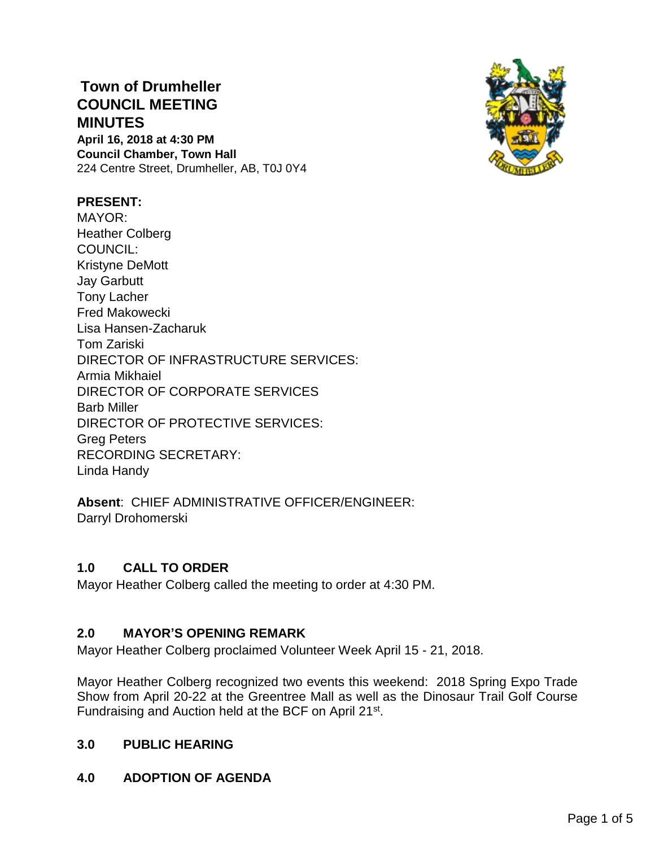**Town of Drumheller COUNCIL MEETING MINUTES April 16, 2018 at 4:30 PM Council Chamber, Town Hall** 224 Centre Street, Drumheller, AB, T0J 0Y4



### **PRESENT:**

MAYOR: Heather Colberg COUNCIL: Kristyne DeMott Jay Garbutt Tony Lacher Fred Makowecki Lisa Hansen-Zacharuk Tom Zariski DIRECTOR OF INFRASTRUCTURE SERVICES: Armia Mikhaiel DIRECTOR OF CORPORATE SERVICES Barb Miller DIRECTOR OF PROTECTIVE SERVICES: Greg Peters RECORDING SECRETARY: Linda Handy

**Absent**: CHIEF ADMINISTRATIVE OFFICER/ENGINEER: Darryl Drohomerski

# **1.0 CALL TO ORDER**

Mayor Heather Colberg called the meeting to order at 4:30 PM.

#### **2.0 MAYOR'S OPENING REMARK**

Mayor Heather Colberg proclaimed Volunteer Week April 15 - 21, 2018.

Mayor Heather Colberg recognized two events this weekend: 2018 Spring Expo Trade Show from April 20-22 at the Greentree Mall as well as the Dinosaur Trail Golf Course Fundraising and Auction held at the BCF on April 21st.

### **3.0 PUBLIC HEARING**

# **4.0 ADOPTION OF AGENDA**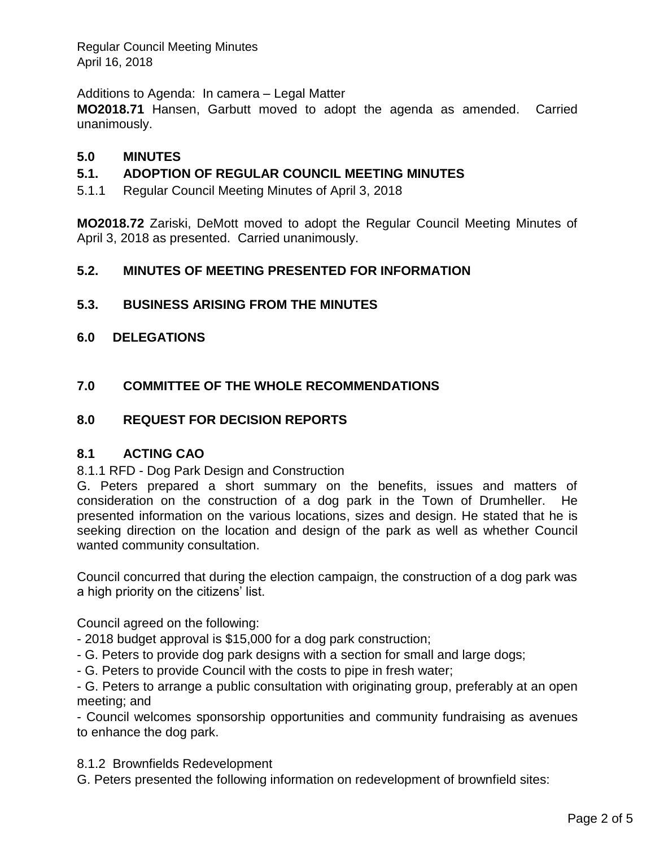Regular Council Meeting Minutes April 16, 2018

Additions to Agenda: In camera – Legal Matter

**MO2018.71** Hansen, Garbutt moved to adopt the agenda as amended. Carried unanimously.

# **5.0 MINUTES**

# **5.1. ADOPTION OF REGULAR COUNCIL MEETING MINUTES**

5.1.1 Regular Council Meeting Minutes of April 3, 2018

**MO2018.72** Zariski, DeMott moved to adopt the Regular Council Meeting Minutes of April 3, 2018 as presented. Carried unanimously.

# **5.2. MINUTES OF MEETING PRESENTED FOR INFORMATION**

# **5.3. BUSINESS ARISING FROM THE MINUTES**

- **6.0 DELEGATIONS**
- **7.0 COMMITTEE OF THE WHOLE RECOMMENDATIONS**

### **8.0 REQUEST FOR DECISION REPORTS**

#### **8.1 ACTING CAO**

#### 8.1.1 RFD - Dog Park Design and Construction

G. Peters prepared a short summary on the benefits, issues and matters of consideration on the construction of a dog park in the Town of Drumheller. He presented information on the various locations, sizes and design. He stated that he is seeking direction on the location and design of the park as well as whether Council wanted community consultation.

Council concurred that during the election campaign, the construction of a dog park was a high priority on the citizens' list.

Council agreed on the following:

- 2018 budget approval is \$15,000 for a dog park construction;
- G. Peters to provide dog park designs with a section for small and large dogs;
- G. Peters to provide Council with the costs to pipe in fresh water;

- G. Peters to arrange a public consultation with originating group, preferably at an open meeting; and

- Council welcomes sponsorship opportunities and community fundraising as avenues to enhance the dog park.

8.1.2 Brownfields Redevelopment

G. Peters presented the following information on redevelopment of brownfield sites: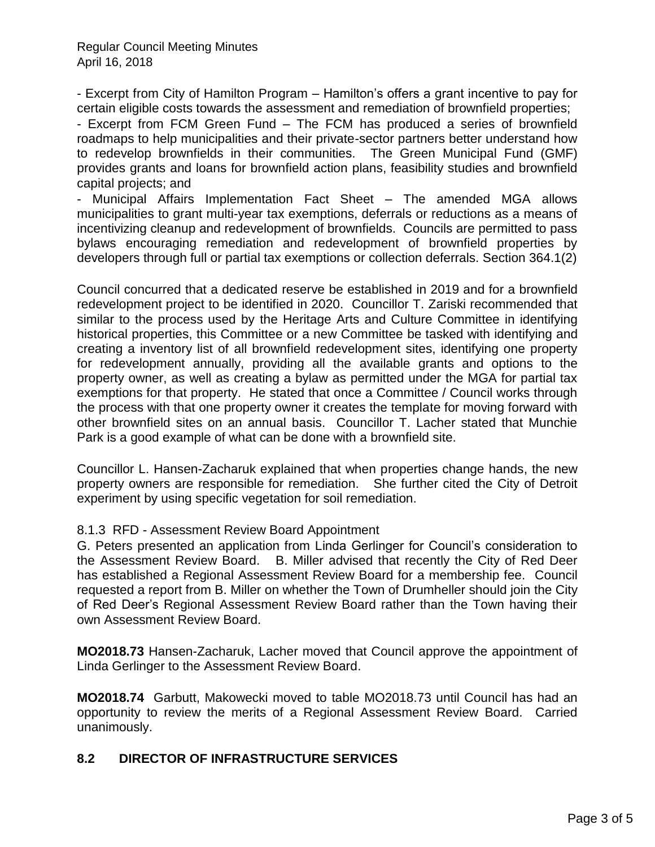- Excerpt from City of Hamilton Program – Hamilton's offers a grant incentive to pay for certain eligible costs towards the assessment and remediation of brownfield properties;

- Excerpt from FCM Green Fund – The FCM has produced a series of brownfield roadmaps to help municipalities and their private-sector partners better understand how to redevelop brownfields in their communities. The Green Municipal Fund (GMF) provides grants and loans for brownfield action plans, feasibility studies and brownfield capital projects; and

- Municipal Affairs Implementation Fact Sheet – The amended MGA allows municipalities to grant multi-year tax exemptions, deferrals or reductions as a means of incentivizing cleanup and redevelopment of brownfields. Councils are permitted to pass bylaws encouraging remediation and redevelopment of brownfield properties by developers through full or partial tax exemptions or collection deferrals. Section 364.1(2)

Council concurred that a dedicated reserve be established in 2019 and for a brownfield redevelopment project to be identified in 2020. Councillor T. Zariski recommended that similar to the process used by the Heritage Arts and Culture Committee in identifying historical properties, this Committee or a new Committee be tasked with identifying and creating a inventory list of all brownfield redevelopment sites, identifying one property for redevelopment annually, providing all the available grants and options to the property owner, as well as creating a bylaw as permitted under the MGA for partial tax exemptions for that property. He stated that once a Committee / Council works through the process with that one property owner it creates the template for moving forward with other brownfield sites on an annual basis. Councillor T. Lacher stated that Munchie Park is a good example of what can be done with a brownfield site.

Councillor L. Hansen-Zacharuk explained that when properties change hands, the new property owners are responsible for remediation. She further cited the City of Detroit experiment by using specific vegetation for soil remediation.

# 8.1.3 RFD - Assessment Review Board Appointment

G. Peters presented an application from Linda Gerlinger for Council's consideration to the Assessment Review Board. B. Miller advised that recently the City of Red Deer has established a Regional Assessment Review Board for a membership fee. Council requested a report from B. Miller on whether the Town of Drumheller should join the City of Red Deer's Regional Assessment Review Board rather than the Town having their own Assessment Review Board.

**MO2018.73** Hansen-Zacharuk, Lacher moved that Council approve the appointment of Linda Gerlinger to the Assessment Review Board.

**MO2018.74** Garbutt, Makowecki moved to table MO2018.73 until Council has had an opportunity to review the merits of a Regional Assessment Review Board. Carried unanimously.

# **8.2 DIRECTOR OF INFRASTRUCTURE SERVICES**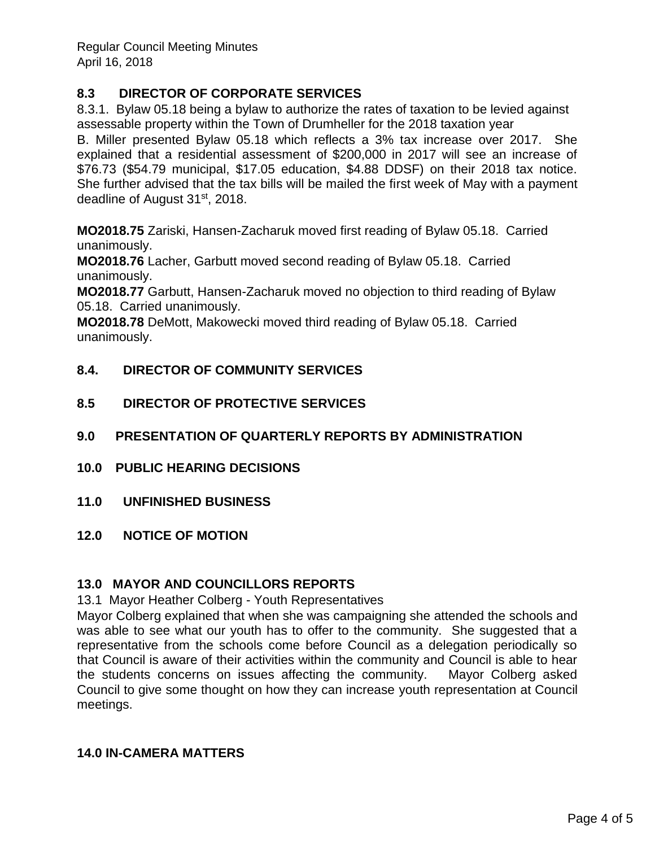Regular Council Meeting Minutes April 16, 2018

# **8.3 DIRECTOR OF CORPORATE SERVICES**

8.3.1. Bylaw 05.18 being a bylaw to authorize the rates of taxation to be levied against assessable property within the Town of Drumheller for the 2018 taxation year B. Miller presented Bylaw 05.18 which reflects a 3% tax increase over 2017. She explained that a residential assessment of \$200,000 in 2017 will see an increase of \$76.73 (\$54.79 municipal, \$17.05 education, \$4.88 DDSF) on their 2018 tax notice. She further advised that the tax bills will be mailed the first week of May with a payment deadline of August 31st, 2018.

**MO2018.75** Zariski, Hansen-Zacharuk moved first reading of Bylaw 05.18. Carried unanimously.

**MO2018.76** Lacher, Garbutt moved second reading of Bylaw 05.18. Carried unanimously.

**MO2018.77** Garbutt, Hansen-Zacharuk moved no objection to third reading of Bylaw 05.18. Carried unanimously.

**MO2018.78** DeMott, Makowecki moved third reading of Bylaw 05.18. Carried unanimously.

- **8.4. DIRECTOR OF COMMUNITY SERVICES**
- **8.5 DIRECTOR OF PROTECTIVE SERVICES**
- **9.0 PRESENTATION OF QUARTERLY REPORTS BY ADMINISTRATION**
- **10.0 PUBLIC HEARING DECISIONS**
- **11.0 UNFINISHED BUSINESS**
- **12.0 NOTICE OF MOTION**

# **13.0 MAYOR AND COUNCILLORS REPORTS**

13.1 Mayor Heather Colberg - Youth Representatives

Mayor Colberg explained that when she was campaigning she attended the schools and was able to see what our youth has to offer to the community. She suggested that a representative from the schools come before Council as a delegation periodically so that Council is aware of their activities within the community and Council is able to hear the students concerns on issues affecting the community. Mayor Colberg asked Council to give some thought on how they can increase youth representation at Council meetings.

# **14.0 IN-CAMERA MATTERS**